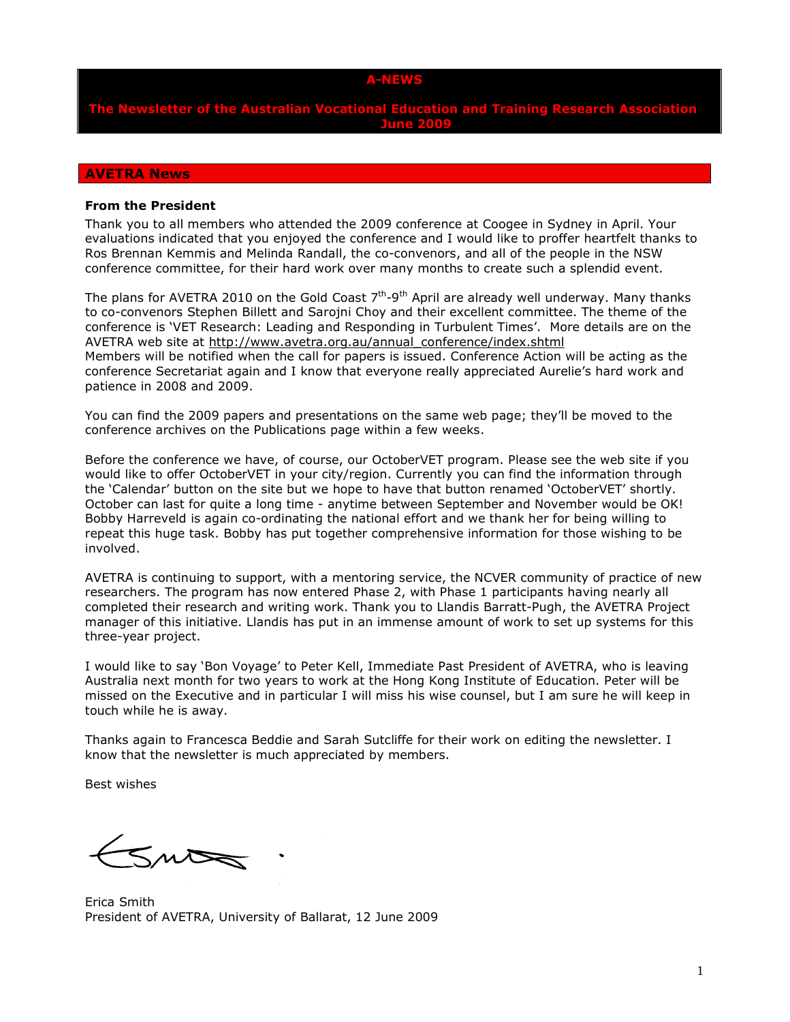#### A-NEWS

# **Newsletter of the Australian Vocational Education and Training Research** June 2009

### AVETRA News

#### From the President

Thank you to all members who attended the 2009 conference at Coogee in Sydney in April. Your evaluations indicated that you enjoyed the conference and I would like to proffer heartfelt thanks to Ros Brennan Kemmis and Melinda Randall, the co-convenors, and all of the people in the NSW conference committee, for their hard work over many months to create such a splendid event.

The plans for AVETRA 2010 on the Gold Coast  $7<sup>th</sup>-9<sup>th</sup>$  April are already well underway. Many thanks to co-convenors Stephen Billett and Sarojni Choy and their excellent committee. The theme of the conference is 'VET Research: Leading and Responding in Turbulent Times'. More details are on the AVETRA web site at http://www.avetra.org.au/annual\_conference/index.shtml Members will be notified when the call for papers is issued. Conference Action will be acting as the conference Secretariat again and I know that everyone really appreciated Aurelie's hard work and patience in 2008 and 2009.

You can find the 2009 papers and presentations on the same web page; they'll be moved to the conference archives on the Publications page within a few weeks.

Before the conference we have, of course, our OctoberVET program. Please see the web site if you would like to offer OctoberVET in your city/region. Currently you can find the information through the 'Calendar' button on the site but we hope to have that button renamed 'OctoberVET' shortly. October can last for quite a long time - anytime between September and November would be OK! Bobby Harreveld is again co-ordinating the national effort and we thank her for being willing to repeat this huge task. Bobby has put together comprehensive information for those wishing to be involved.

AVETRA is continuing to support, with a mentoring service, the NCVER community of practice of new researchers. The program has now entered Phase 2, with Phase 1 participants having nearly all completed their research and writing work. Thank you to Llandis Barratt-Pugh, the AVETRA Project manager of this initiative. Llandis has put in an immense amount of work to set up systems for this three-year project.

I would like to say 'Bon Voyage' to Peter Kell, Immediate Past President of AVETRA, who is leaving Australia next month for two years to work at the Hong Kong Institute of Education. Peter will be missed on the Executive and in particular I will miss his wise counsel, but I am sure he will keep in touch while he is away.

Thanks again to Francesca Beddie and Sarah Sutcliffe for their work on editing the newsletter. I know that the newsletter is much appreciated by members.

Best wishes

 $5m$ 

Erica Smith President of AVETRA, University of Ballarat, 12 June 2009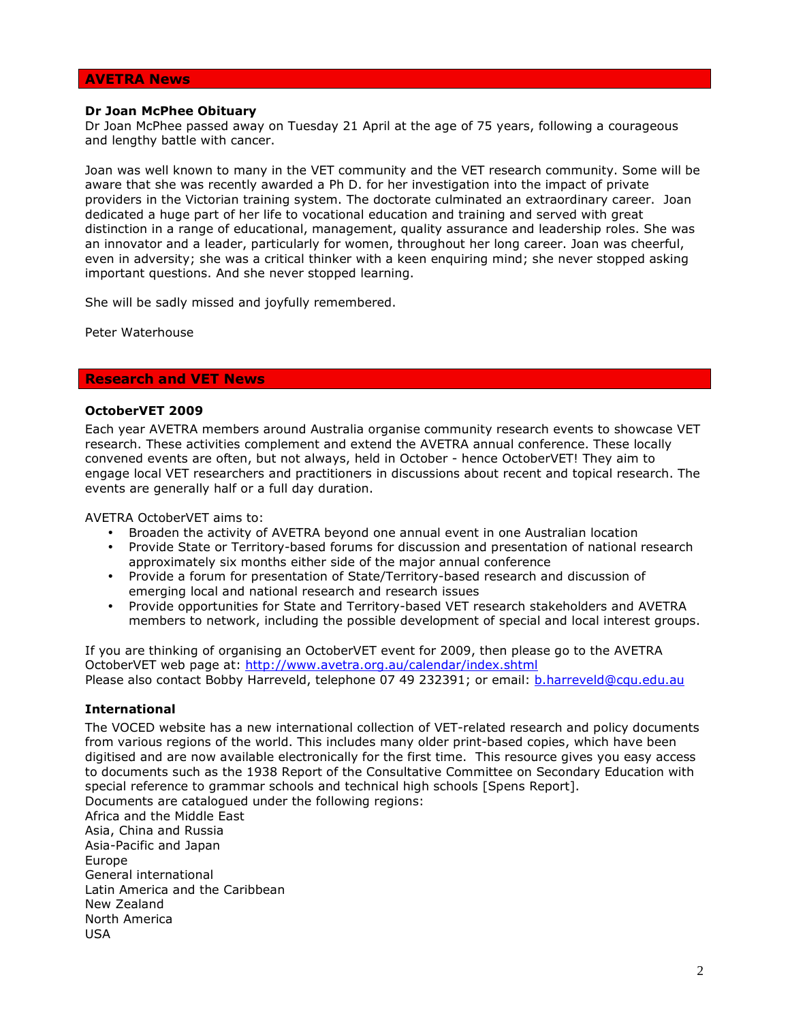### AVETRA News

#### Dr Joan McPhee Obituary

Dr Joan McPhee passed away on Tuesday 21 April at the age of 75 years, following a courageous and lengthy battle with cancer.

Joan was well known to many in the VET community and the VET research community. Some will be aware that she was recently awarded a Ph D. for her investigation into the impact of private providers in the Victorian training system. The doctorate culminated an extraordinary career. Joan dedicated a huge part of her life to vocational education and training and served with great distinction in a range of educational, management, quality assurance and leadership roles. She was an innovator and a leader, particularly for women, throughout her long career. Joan was cheerful, even in adversity; she was a critical thinker with a keen enquiring mind; she never stopped asking important questions. And she never stopped learning.

She will be sadly missed and joyfully remembered.

Peter Waterhouse

### Research and VET News

### OctoberVET 2009

Each year AVETRA members around Australia organise community research events to showcase VET research. These activities complement and extend the AVETRA annual conference. These locally convened events are often, but not always, held in October - hence OctoberVET! They aim to engage local VET researchers and practitioners in discussions about recent and topical research. The events are generally half or a full day duration.

AVETRA OctoberVET aims to:

- Broaden the activity of AVETRA beyond one annual event in one Australian location
- Provide State or Territory-based forums for discussion and presentation of national research approximately six months either side of the major annual conference
- Provide a forum for presentation of State/Territory-based research and discussion of emerging local and national research and research issues
- Provide opportunities for State and Territory-based VET research stakeholders and AVETRA members to network, including the possible development of special and local interest groups.

If you are thinking of organising an OctoberVET event for 2009, then please go to the AVETRA OctoberVET web page at: http://www.avetra.org.au/calendar/index.shtml Please also contact Bobby Harreveld, telephone 07 49 232391; or email: **b.harreveld@cqu.edu.au** 

### International

The VOCED website has a new international collection of VET-related research and policy documents from various regions of the world. This includes many older print-based copies, which have been digitised and are now available electronically for the first time. This resource gives you easy access to documents such as the 1938 Report of the Consultative Committee on Secondary Education with special reference to grammar schools and technical high schools [Spens Report]. Documents are catalogued under the following regions:

Africa and the Middle East Asia, China and Russia Asia-Pacific and Japan Europe General international Latin America and the Caribbean New Zealand North America USA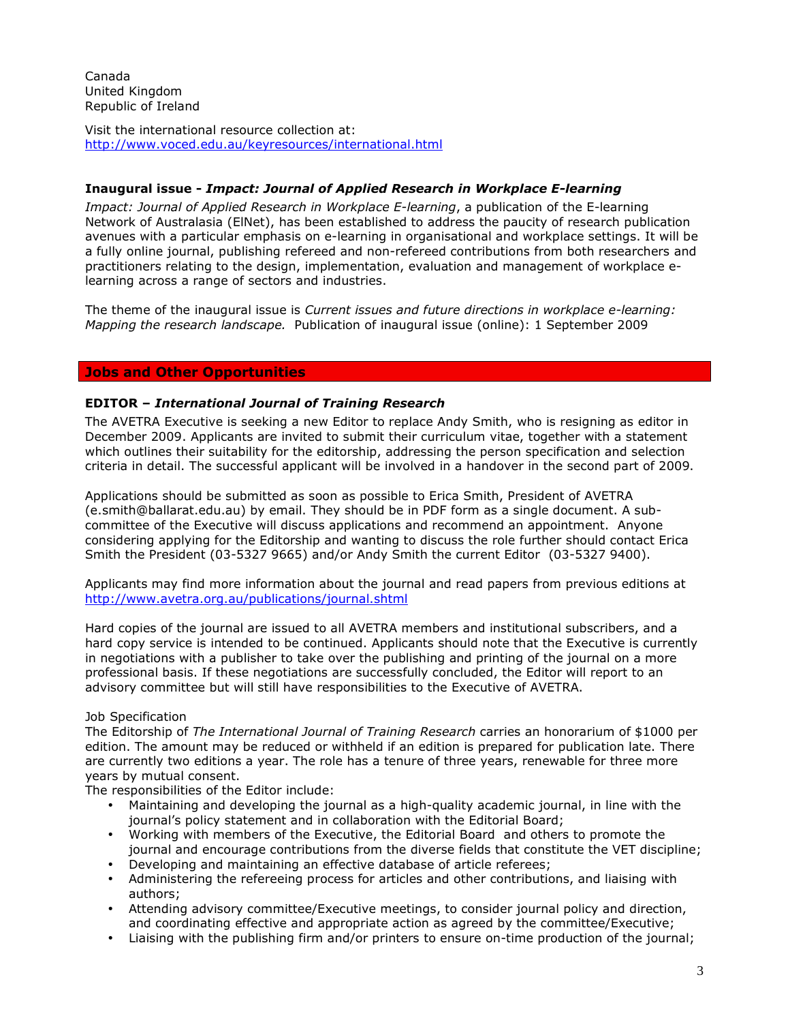Canada United Kingdom Republic of Ireland

Visit the international resource collection at: http://www.voced.edu.au/keyresources/international.html

# Inaugural issue - Impact: Journal of Applied Research in Workplace E-learning

Impact: Journal of Applied Research in Workplace E-learning, a publication of the E-learning Network of Australasia (ElNet), has been established to address the paucity of research publication avenues with a particular emphasis on e-learning in organisational and workplace settings. It will be a fully online journal, publishing refereed and non-refereed contributions from both researchers and practitioners relating to the design, implementation, evaluation and management of workplace elearning across a range of sectors and industries.

The theme of the inaugural issue is Current issues and future directions in workplace e-learning: Mapping the research landscape. Publication of inaugural issue (online): 1 September 2009

# Jobs and Other Opportunities

## EDITOR – International Journal of Training Research

The AVETRA Executive is seeking a new Editor to replace Andy Smith, who is resigning as editor in December 2009. Applicants are invited to submit their curriculum vitae, together with a statement which outlines their suitability for the editorship, addressing the person specification and selection criteria in detail. The successful applicant will be involved in a handover in the second part of 2009.

Applications should be submitted as soon as possible to Erica Smith, President of AVETRA (e.smith@ballarat.edu.au) by email. They should be in PDF form as a single document. A subcommittee of the Executive will discuss applications and recommend an appointment. Anyone considering applying for the Editorship and wanting to discuss the role further should contact Erica Smith the President (03-5327 9665) and/or Andy Smith the current Editor (03-5327 9400).

Applicants may find more information about the journal and read papers from previous editions at http://www.avetra.org.au/publications/journal.shtml

Hard copies of the journal are issued to all AVETRA members and institutional subscribers, and a hard copy service is intended to be continued. Applicants should note that the Executive is currently in negotiations with a publisher to take over the publishing and printing of the journal on a more professional basis. If these negotiations are successfully concluded, the Editor will report to an advisory committee but will still have responsibilities to the Executive of AVETRA.

## Job Specification

The Editorship of The International Journal of Training Research carries an honorarium of \$1000 per edition. The amount may be reduced or withheld if an edition is prepared for publication late. There are currently two editions a year. The role has a tenure of three years, renewable for three more years by mutual consent.

The responsibilities of the Editor include:

- Maintaining and developing the journal as a high-quality academic journal, in line with the journal's policy statement and in collaboration with the Editorial Board;
- Working with members of the Executive, the Editorial Board and others to promote the journal and encourage contributions from the diverse fields that constitute the VET discipline;
- Developing and maintaining an effective database of article referees;
- Administering the refereeing process for articles and other contributions, and liaising with authors;
- Attending advisory committee/Executive meetings, to consider journal policy and direction, and coordinating effective and appropriate action as agreed by the committee/Executive;
- Liaising with the publishing firm and/or printers to ensure on-time production of the journal;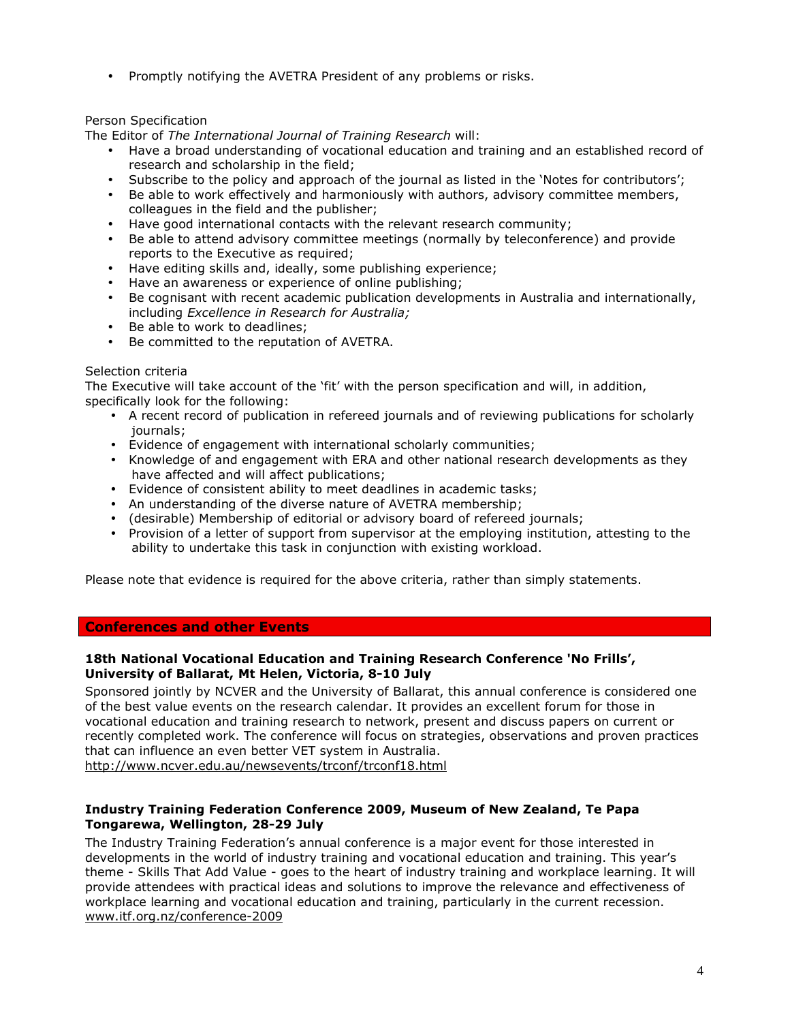• Promptly notifying the AVETRA President of any problems or risks.

# Person Specification

The Editor of The International Journal of Training Research will:

- Have a broad understanding of vocational education and training and an established record of research and scholarship in the field;
- Subscribe to the policy and approach of the journal as listed in the 'Notes for contributors';
- Be able to work effectively and harmoniously with authors, advisory committee members, colleagues in the field and the publisher;
- Have good international contacts with the relevant research community;
- Be able to attend advisory committee meetings (normally by teleconference) and provide reports to the Executive as required;
- Have editing skills and, ideally, some publishing experience;
- Have an awareness or experience of online publishing;
- Be cognisant with recent academic publication developments in Australia and internationally, including Excellence in Research for Australia;
- Be able to work to deadlines;
- Be committed to the reputation of AVETRA.

## Selection criteria

The Executive will take account of the 'fit' with the person specification and will, in addition, specifically look for the following:

- A recent record of publication in refereed journals and of reviewing publications for scholarly journals;
- Evidence of engagement with international scholarly communities;
- Knowledge of and engagement with ERA and other national research developments as they have affected and will affect publications;
- Evidence of consistent ability to meet deadlines in academic tasks;
- An understanding of the diverse nature of AVETRA membership;
- (desirable) Membership of editorial or advisory board of refereed journals;
- Provision of a letter of support from supervisor at the employing institution, attesting to the ability to undertake this task in conjunction with existing workload.

Please note that evidence is required for the above criteria, rather than simply statements.

# Conferences and other Events

## 18th National Vocational Education and Training Research Conference 'No Frills', University of Ballarat, Mt Helen, Victoria, 8-10 July

Sponsored jointly by NCVER and the University of Ballarat, this annual conference is considered one of the best value events on the research calendar. It provides an excellent forum for those in vocational education and training research to network, present and discuss papers on current or recently completed work. The conference will focus on strategies, observations and proven practices that can influence an even better VET system in Australia.

http://www.ncver.edu.au/newsevents/trconf/trconf18.html

## Industry Training Federation Conference 2009, Museum of New Zealand, Te Papa Tongarewa, Wellington, 28-29 July

The Industry Training Federation's annual conference is a major event for those interested in developments in the world of industry training and vocational education and training. This year's theme - Skills That Add Value - goes to the heart of industry training and workplace learning. It will provide attendees with practical ideas and solutions to improve the relevance and effectiveness of workplace learning and vocational education and training, particularly in the current recession. www.itf.org.nz/conference-2009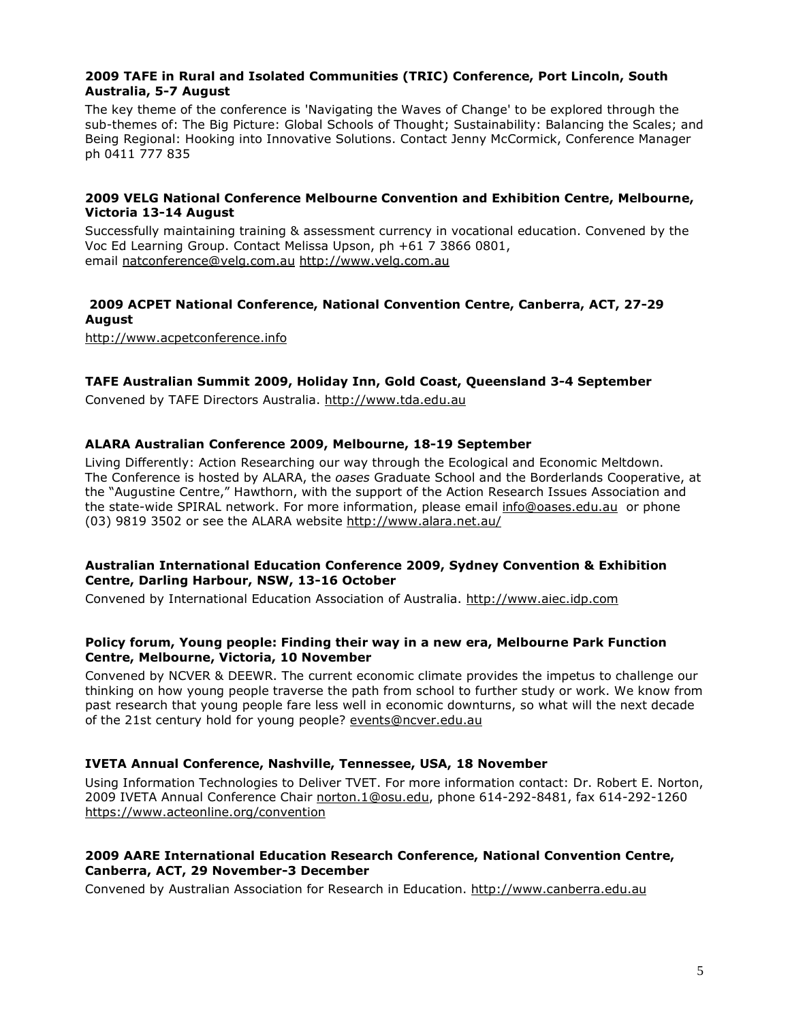## 2009 TAFE in Rural and Isolated Communities (TRIC) Conference, Port Lincoln, South Australia, 5-7 August

The key theme of the conference is 'Navigating the Waves of Change' to be explored through the sub-themes of: The Big Picture: Global Schools of Thought; Sustainability: Balancing the Scales; and Being Regional: Hooking into Innovative Solutions. Contact Jenny McCormick, Conference Manager ph 0411 777 835

### 2009 VELG National Conference Melbourne Convention and Exhibition Centre, Melbourne, Victoria 13-14 August

Successfully maintaining training & assessment currency in vocational education. Convened by the Voc Ed Learning Group. Contact Melissa Upson, ph +61 7 3866 0801, email natconference@velg.com.au http://www.velg.com.au

# 2009 ACPET National Conference, National Convention Centre, Canberra, ACT, 27-29 August

http://www.acpetconference.info

## TAFE Australian Summit 2009, Holiday Inn, Gold Coast, Queensland 3-4 September

Convened by TAFE Directors Australia. http://www.tda.edu.au

## ALARA Australian Conference 2009, Melbourne, 18-19 September

Living Differently: Action Researching our way through the Ecological and Economic Meltdown. The Conference is hosted by ALARA, the *oases* Graduate School and the Borderlands Cooperative, at the "Augustine Centre," Hawthorn, with the support of the Action Research Issues Association and the state-wide SPIRAL network. For more information, please email info@oases.edu.au or phone (03) 9819 3502 or see the ALARA website http://www.alara.net.au/

### Australian International Education Conference 2009, Sydney Convention & Exhibition Centre, Darling Harbour, NSW, 13-16 October

Convened by International Education Association of Australia. http://www.aiec.idp.com

### Policy forum, Young people: Finding their way in a new era, Melbourne Park Function Centre, Melbourne, Victoria, 10 November

Convened by NCVER & DEEWR. The current economic climate provides the impetus to challenge our thinking on how young people traverse the path from school to further study or work. We know from past research that young people fare less well in economic downturns, so what will the next decade of the 21st century hold for young people? events@ncver.edu.au

### IVETA Annual Conference, Nashville, Tennessee, USA, 18 November

Using Information Technologies to Deliver TVET. For more information contact: Dr. Robert E. Norton, 2009 IVETA Annual Conference Chair norton.1@osu.edu, phone 614-292-8481, fax 614-292-1260 https://www.acteonline.org/convention

## 2009 AARE International Education Research Conference, National Convention Centre, Canberra, ACT, 29 November-3 December

Convened by Australian Association for Research in Education. http://www.canberra.edu.au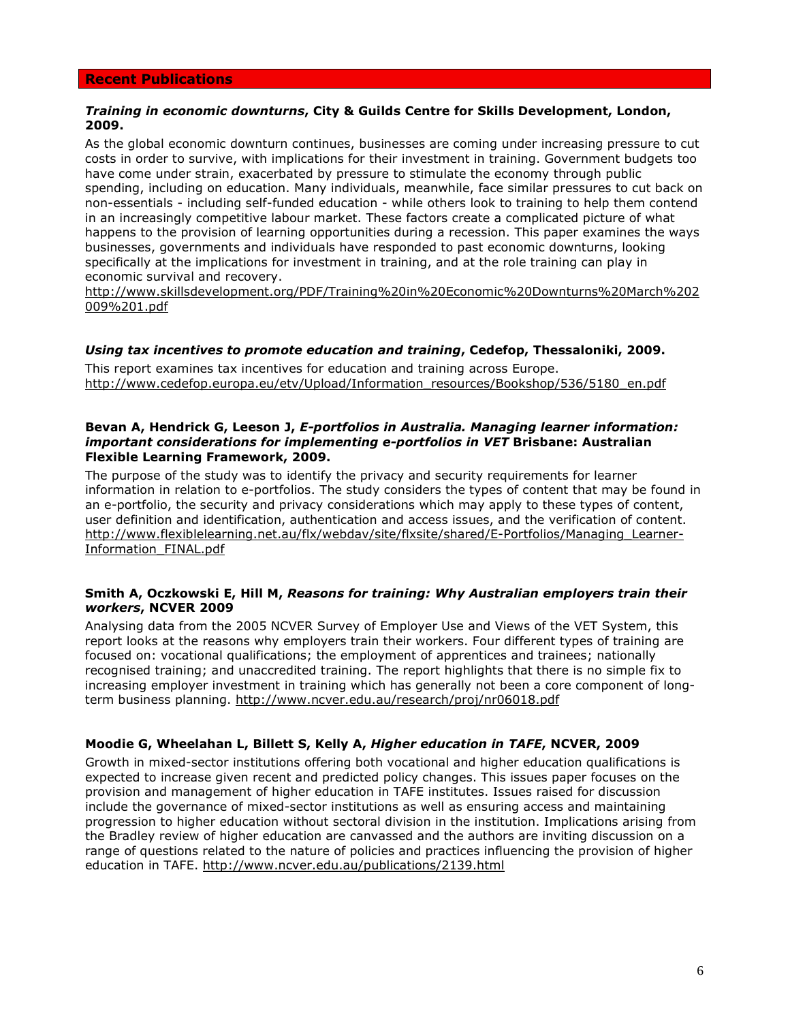### Recent Publications

### Training in economic downturns, City & Guilds Centre for Skills Development, London, 2009.

As the global economic downturn continues, businesses are coming under increasing pressure to cut costs in order to survive, with implications for their investment in training. Government budgets too have come under strain, exacerbated by pressure to stimulate the economy through public spending, including on education. Many individuals, meanwhile, face similar pressures to cut back on non-essentials - including self-funded education - while others look to training to help them contend in an increasingly competitive labour market. These factors create a complicated picture of what happens to the provision of learning opportunities during a recession. This paper examines the ways businesses, governments and individuals have responded to past economic downturns, looking specifically at the implications for investment in training, and at the role training can play in economic survival and recovery.

http://www.skillsdevelopment.org/PDF/Training%20in%20Economic%20Downturns%20March%202 009%201.pdf

### Using tax incentives to promote education and training, Cedefop, Thessaloniki, 2009.

This report examines tax incentives for education and training across Europe. http://www.cedefop.europa.eu/etv/Upload/Information\_resources/Bookshop/536/5180\_en.pdf

### Bevan A, Hendrick G, Leeson J, E-portfolios in Australia. Managing learner information: important considerations for implementing e-portfolios in VET Brisbane: Australian Flexible Learning Framework, 2009.

The purpose of the study was to identify the privacy and security requirements for learner information in relation to e-portfolios. The study considers the types of content that may be found in an e-portfolio, the security and privacy considerations which may apply to these types of content, user definition and identification, authentication and access issues, and the verification of content. http://www.flexiblelearning.net.au/flx/webdav/site/flxsite/shared/E-Portfolios/Managing\_Learner-Information\_FINAL.pdf

## Smith A, Oczkowski E, Hill M, Reasons for training: Why Australian employers train their workers, NCVER 2009

Analysing data from the 2005 NCVER Survey of Employer Use and Views of the VET System, this report looks at the reasons why employers train their workers. Four different types of training are focused on: vocational qualifications; the employment of apprentices and trainees; nationally recognised training; and unaccredited training. The report highlights that there is no simple fix to increasing employer investment in training which has generally not been a core component of longterm business planning. http://www.ncver.edu.au/research/proj/nr06018.pdf

### Moodie G, Wheelahan L, Billett S, Kelly A, Higher education in TAFE, NCVER, 2009

Growth in mixed-sector institutions offering both vocational and higher education qualifications is expected to increase given recent and predicted policy changes. This issues paper focuses on the provision and management of higher education in TAFE institutes. Issues raised for discussion include the governance of mixed-sector institutions as well as ensuring access and maintaining progression to higher education without sectoral division in the institution. Implications arising from the Bradley review of higher education are canvassed and the authors are inviting discussion on a range of questions related to the nature of policies and practices influencing the provision of higher education in TAFE. http://www.ncver.edu.au/publications/2139.html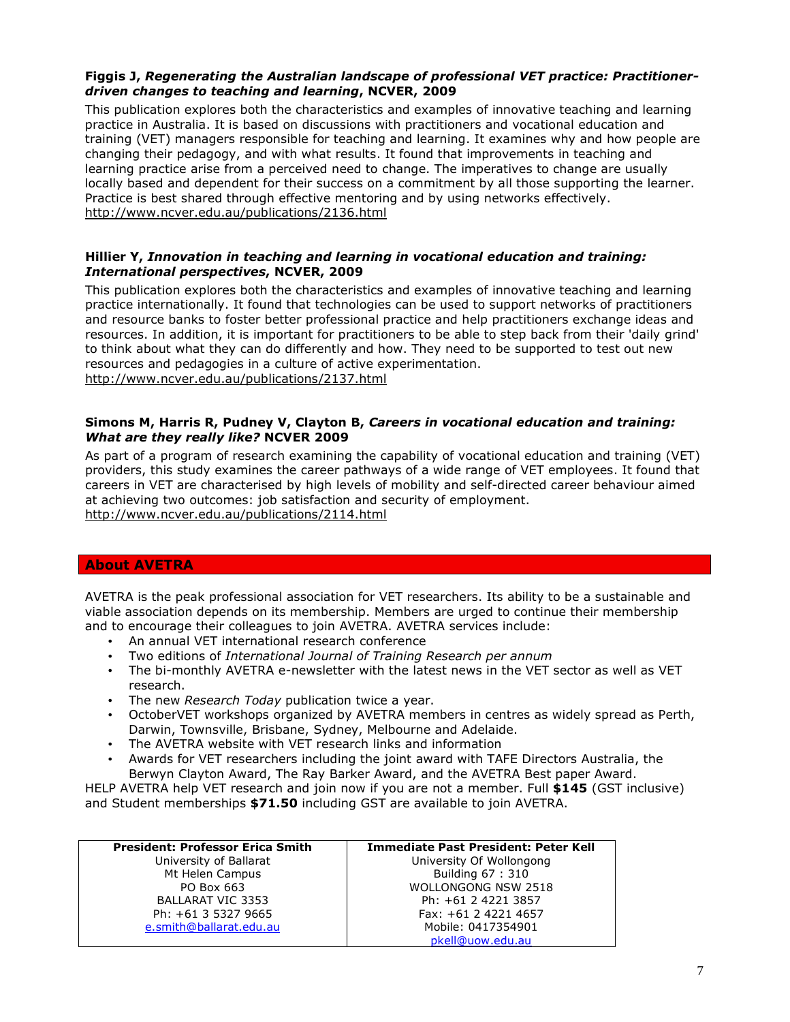## Figgis J, Regenerating the Australian landscape of professional VET practice: Practitionerdriven changes to teaching and learning, NCVER, 2009

This publication explores both the characteristics and examples of innovative teaching and learning practice in Australia. It is based on discussions with practitioners and vocational education and training (VET) managers responsible for teaching and learning. It examines why and how people are changing their pedagogy, and with what results. It found that improvements in teaching and learning practice arise from a perceived need to change. The imperatives to change are usually locally based and dependent for their success on a commitment by all those supporting the learner. Practice is best shared through effective mentoring and by using networks effectively. http://www.ncver.edu.au/publications/2136.html

## Hillier Y, Innovation in teaching and learning in vocational education and training: International perspectives, NCVER, 2009

This publication explores both the characteristics and examples of innovative teaching and learning practice internationally. It found that technologies can be used to support networks of practitioners and resource banks to foster better professional practice and help practitioners exchange ideas and resources. In addition, it is important for practitioners to be able to step back from their 'daily grind' to think about what they can do differently and how. They need to be supported to test out new resources and pedagogies in a culture of active experimentation. http://www.ncver.edu.au/publications/2137.html

## Simons M, Harris R, Pudney V, Clayton B, Careers in vocational education and training: What are they really like? NCVER 2009

As part of a program of research examining the capability of vocational education and training (VET) providers, this study examines the career pathways of a wide range of VET employees. It found that careers in VET are characterised by high levels of mobility and self-directed career behaviour aimed at achieving two outcomes: job satisfaction and security of employment. http://www.ncver.edu.au/publications/2114.html

# About AVETRA

AVETRA is the peak professional association for VET researchers. Its ability to be a sustainable and viable association depends on its membership. Members are urged to continue their membership and to encourage their colleagues to join AVETRA. AVETRA services include:

- An annual VET international research conference
- Two editions of International Journal of Training Research per annum
- The bi-monthly AVETRA e-newsletter with the latest news in the VET sector as well as VET research.
- The new Research Today publication twice a year.
- OctoberVET workshops organized by AVETRA members in centres as widely spread as Perth, Darwin, Townsville, Brisbane, Sydney, Melbourne and Adelaide.
- The AVETRA website with VET research links and information
- Awards for VET researchers including the joint award with TAFE Directors Australia, the Berwyn Clayton Award, The Ray Barker Award, and the AVETRA Best paper Award.

HELP AVETRA help VET research and join now if you are not a member. Full \$145 (GST inclusive) and Student memberships \$71.50 including GST are available to join AVETRA.

| <b>President: Professor Erica Smith</b> | <b>Immediate Past President: Peter Kell</b> |
|-----------------------------------------|---------------------------------------------|
| University of Ballarat                  | University Of Wollongong                    |
| Mt Helen Campus                         | Building 67: 310                            |
| PO Box 663                              | <b>WOLLONGONG NSW 2518</b>                  |
| <b>BALLARAT VIC 3353</b>                | Ph: +61 2 4221 3857                         |
| Ph: +61 3 5327 9665                     | Fax: +61 2 4221 4657                        |
| e.smith@ballarat.edu.au                 | Mobile: 0417354901                          |
|                                         | pkell@uow.edu.au                            |